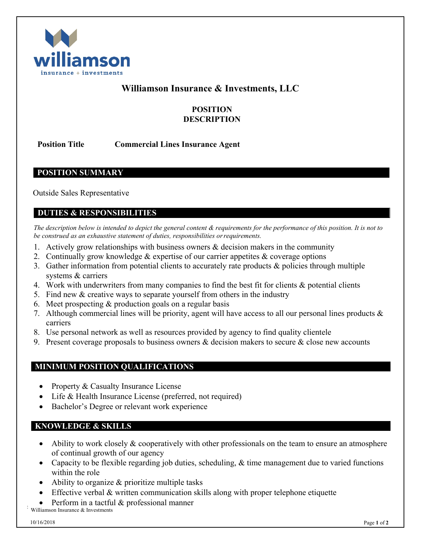

# **Williamson Insurance & Investments, LLC**

## **POSITION DESCRIPTION**

**Position Title Commercial Lines Insurance Agent**

**POSITION SUMMARY**

Outside Sales Representative

### **DUTIES & RESPONSIBILITIES**

*The description below is intended to depict the general content & requirements for the performance of this position. It is not to be construed as an exhaustive statement of duties, responsibilities orrequirements.*

- 1. Actively grow relationships with business owners  $\&$  decision makers in the community
- 2. Continually grow knowledge & expertise of our carrier appetites & coverage options
- 3. Gather information from potential clients to accurately rate products & policies through multiple systems & carriers
- 4. Work with underwriters from many companies to find the best fit for clients & potential clients
- 5. Find new & creative ways to separate yourself from others in the industry
- 6. Meet prospecting & production goals on a regular basis
- 7. Although commercial lines will be priority, agent will have access to all our personal lines products & carriers
- 8. Use personal network as well as resources provided by agency to find quality clientele
- 9. Present coverage proposals to business owners  $\&$  decision makers to secure  $\&$  close new accounts

### **MINIMUM POSITION QUALIFICATIONS**

- **Property & Casualty Insurance License**
- Life & Health Insurance License (preferred, not required)
- Bachelor's Degree or relevant work experience

#### **KNOWLEDGE & SKILLS**

- Ability to work closely & cooperatively with other professionals on the team to ensure an atmosphere of continual growth of our agency
- Capacity to be flexible regarding job duties, scheduling, & time management due to varied functions within the role
- Ability to organize  $&$  prioritize multiple tasks
- Effective verbal & written communication skills along with proper telephone etiquette
- Williamson Insurance & Investments • Perform in a tactful & professional manner